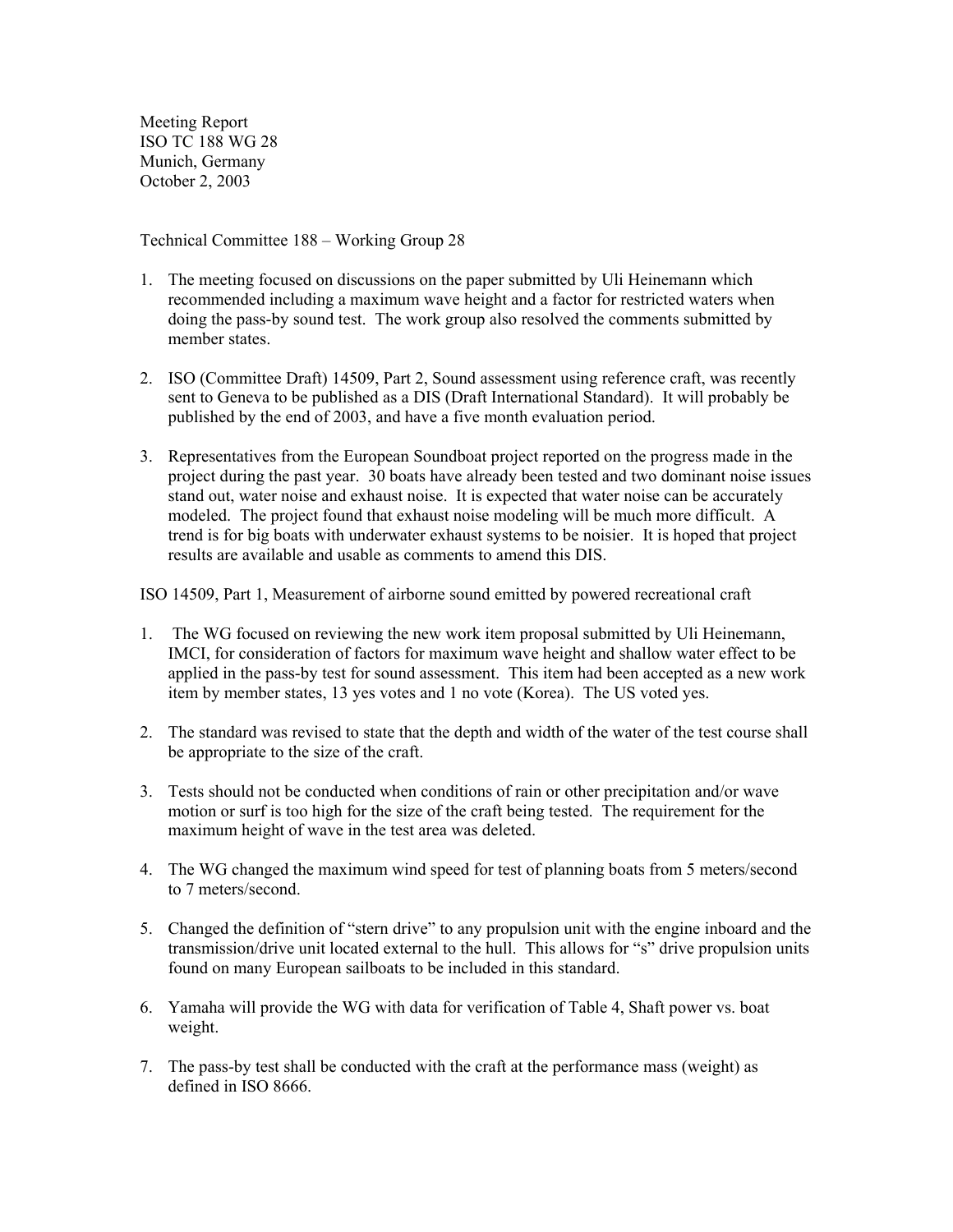Meeting Report ISO TC 188 WG 28 Munich, Germany October 2, 2003

Technical Committee 188 – Working Group 28

- 1. The meeting focused on discussions on the paper submitted by Uli Heinemann which recommended including a maximum wave height and a factor for restricted waters when doing the pass-by sound test. The work group also resolved the comments submitted by member states
- 2. ISO (Committee Draft) 14509, Part 2, Sound assessment using reference craft, was recently sent to Geneva to be published as a DIS (Draft International Standard). It will probably be published by the end of 2003, and have a five month evaluation period.
- 3. Representatives from the European Soundboat project reported on the progress made in the project during the past year. 30 boats have already been tested and two dominant noise issues stand out, water noise and exhaust noise. It is expected that water noise can be accurately modeled. The project found that exhaust noise modeling will be much more difficult. A trend is for big boats with underwater exhaust systems to be noisier. It is hoped that project results are available and usable as comments to amend this DIS.

ISO 14509, Part 1, Measurement of airborne sound emitted by powered recreational craft

- 1. The WG focused on reviewing the new work item proposal submitted by Uli Heinemann, IMCI, for consideration of factors for maximum wave height and shallow water effect to be applied in the pass-by test for sound assessment. This item had been accepted as a new work item by member states, 13 yes votes and 1 no vote (Korea). The US voted yes.
- 2. The standard was revised to state that the depth and width of the water of the test course shall be appropriate to the size of the craft.
- 3. Tests should not be conducted when conditions of rain or other precipitation and/or wave motion or surf is too high for the size of the craft being tested. The requirement for the maximum height of wave in the test area was deleted.
- 4. The WG changed the maximum wind speed for test of planning boats from 5 meters/second to 7 meters/second.
- 5. Changed the definition of "stern drive" to any propulsion unit with the engine inboard and the transmission/drive unit located external to the hull. This allows for "s" drive propulsion units found on many European sailboats to be included in this standard.
- 6. Yamaha will provide the WG with data for verification of Table 4, Shaft power vs. boat weight.
- 7. The pass-by test shall be conducted with the craft at the performance mass (weight) as defined in ISO 8666.